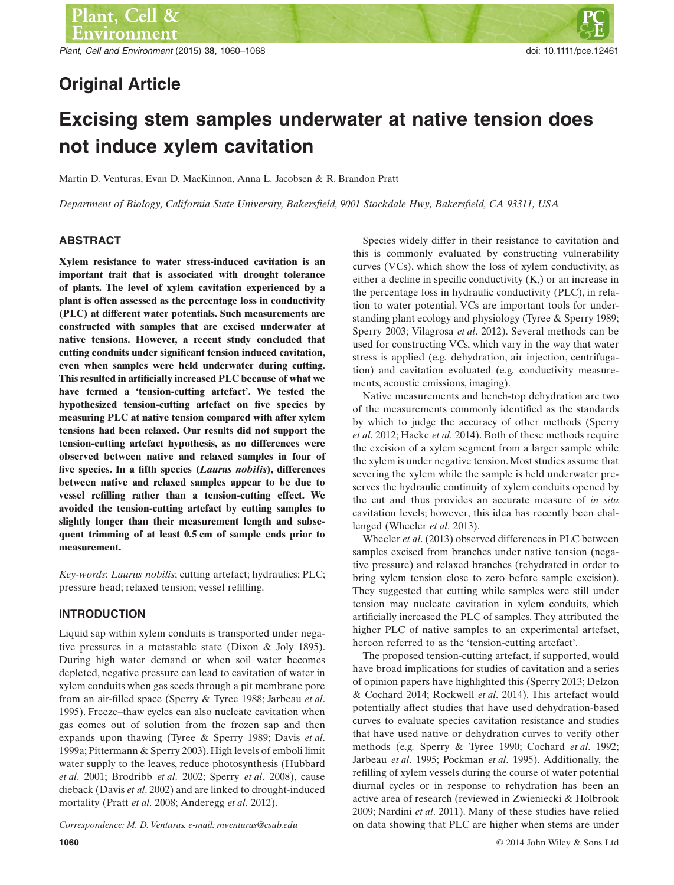*Plant, Cell and Environment* (2015) **38**, 1060–1068 doi: 10.1111/pce.12461

# **Original Article**

# **Excising stem samples underwater at native tension does not induce xylem cavitation**

Martin D. Venturas, Evan D. MacKinnon, Anna L. Jacobsen & R. Brandon Pratt

*Department of Biology, California State University, Bakersfield, 9001 Stockdale Hwy, Bakersfield, CA 93311, USA*

# **ABSTRACT**

**Xylem resistance to water stress-induced cavitation is an important trait that is associated with drought tolerance of plants. The level of xylem cavitation experienced by a plant is often assessed as the percentage loss in conductivity (PLC) at different water potentials. Such measurements are constructed with samples that are excised underwater at native tensions. However, a recent study concluded that cutting conduits under significant tension induced cavitation, even when samples were held underwater during cutting. This resulted in artificially increased PLC because of what we have termed a 'tension-cutting artefact'. We tested the hypothesized tension-cutting artefact on five species by measuring PLC at native tension compared with after xylem tensions had been relaxed. Our results did not support the tension-cutting artefact hypothesis, as no differences were observed between native and relaxed samples in four of five species. In a fifth species (***Laurus nobilis***), differences between native and relaxed samples appear to be due to vessel refilling rather than a tension-cutting effect. We avoided the tension-cutting artefact by cutting samples to slightly longer than their measurement length and subsequent trimming of at least 0.5 cm of sample ends prior to measurement.**

*Key-words*: *Laurus nobilis*; cutting artefact; hydraulics; PLC; pressure head; relaxed tension; vessel refilling.

# **INTRODUCTION**

Liquid sap within xylem conduits is transported under negative pressures in a metastable state (Dixon & Joly 1895). During high water demand or when soil water becomes depleted, negative pressure can lead to cavitation of water in xylem conduits when gas seeds through a pit membrane pore from an air-filled space (Sperry & Tyree 1988; Jarbeau *et al*. 1995). Freeze–thaw cycles can also nucleate cavitation when gas comes out of solution from the frozen sap and then expands upon thawing (Tyree & Sperry 1989; Davis *et al*. 1999a; Pittermann & Sperry 2003). High levels of emboli limit water supply to the leaves, reduce photosynthesis (Hubbard *et al*. 2001; Brodribb *et al*. 2002; Sperry *et al*. 2008), cause dieback (Davis *et al*. 2002) and are linked to drought-induced mortality (Pratt *et al*. 2008; Anderegg *et al*. 2012).

this is commonly evaluated by constructing vulnerability curves (VCs), which show the loss of xylem conductivity, as either a decline in specific conductivity  $(K_s)$  or an increase in the percentage loss in hydraulic conductivity (PLC), in relation to water potential. VCs are important tools for understanding plant ecology and physiology (Tyree & Sperry 1989; Sperry 2003; Vilagrosa *et al*. 2012). Several methods can be used for constructing VCs, which vary in the way that water stress is applied (e.g*.* dehydration, air injection, centrifugation) and cavitation evaluated (e.g*.* conductivity measurements, acoustic emissions, imaging). Native measurements and bench-top dehydration are two

Species widely differ in their resistance to cavitation and

of the measurements commonly identified as the standards by which to judge the accuracy of other methods (Sperry *et al*. 2012; Hacke *et al*. 2014). Both of these methods require the excision of a xylem segment from a larger sample while the xylem is under negative tension.Most studies assume that severing the xylem while the sample is held underwater preserves the hydraulic continuity of xylem conduits opened by the cut and thus provides an accurate measure of *in situ* cavitation levels; however, this idea has recently been challenged (Wheeler *et al*. 2013).

Wheeler *et al*. (2013) observed differences in PLC between samples excised from branches under native tension (negative pressure) and relaxed branches (rehydrated in order to bring xylem tension close to zero before sample excision). They suggested that cutting while samples were still under tension may nucleate cavitation in xylem conduits, which artificially increased the PLC of samples. They attributed the higher PLC of native samples to an experimental artefact, hereon referred to as the 'tension-cutting artefact'.

The proposed tension-cutting artefact, if supported, would have broad implications for studies of cavitation and a series of opinion papers have highlighted this (Sperry 2013; Delzon & Cochard 2014; Rockwell *et al*. 2014). This artefact would potentially affect studies that have used dehydration-based curves to evaluate species cavitation resistance and studies that have used native or dehydration curves to verify other methods (e.g*.* Sperry & Tyree 1990; Cochard *et al*. 1992; Jarbeau *et al*. 1995; Pockman *et al*. 1995). Additionally, the refilling of xylem vessels during the course of water potential diurnal cycles or in response to rehydration has been an active area of research (reviewed in Zwieniecki & Holbrook 2009; Nardini *et al*. 2011). Many of these studies have relied *Correspondence: M. D. Venturas. e-mail: mventuras@csub.edu* on data showing that PLC are higher when stems are under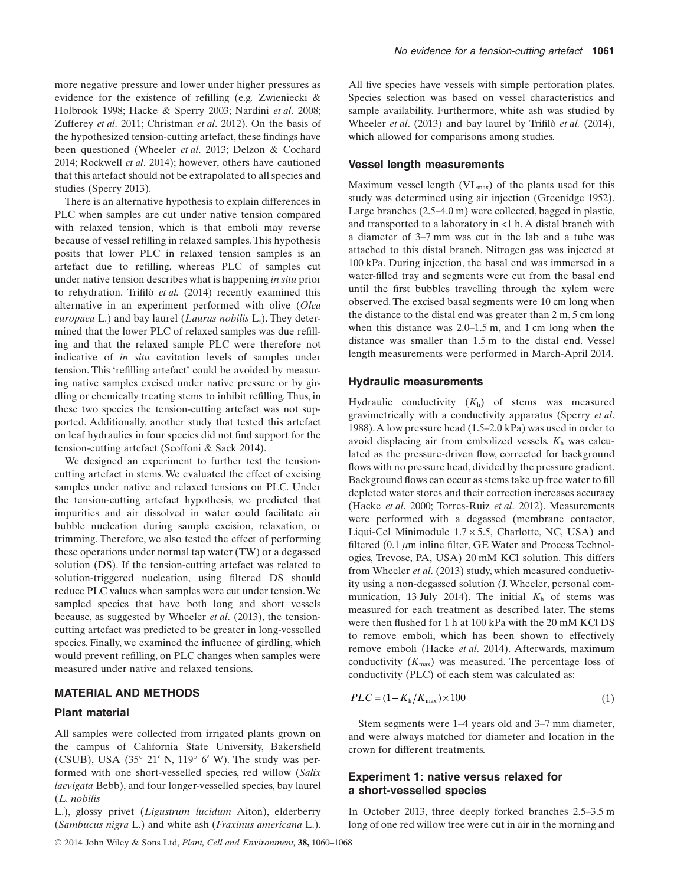more negative pressure and lower under higher pressures as evidence for the existence of refilling (e.g*.* Zwieniecki & Holbrook 1998; Hacke & Sperry 2003; Nardini *et al*. 2008; Zufferey *et al*. 2011; Christman *et al*. 2012). On the basis of the hypothesized tension-cutting artefact, these findings have been questioned (Wheeler *et al*. 2013; Delzon & Cochard 2014; Rockwell *et al*. 2014); however, others have cautioned that this artefact should not be extrapolated to all species and studies (Sperry 2013).

There is an alternative hypothesis to explain differences in PLC when samples are cut under native tension compared with relaxed tension, which is that emboli may reverse because of vessel refilling in relaxed samples.This hypothesis posits that lower PLC in relaxed tension samples is an artefact due to refilling, whereas PLC of samples cut under native tension describes what is happening *in situ* prior to rehydration. Trifilò *et al.* (2014) recently examined this alternative in an experiment performed with olive (*Olea europaea* L.) and bay laurel (*Laurus nobilis* L.). They determined that the lower PLC of relaxed samples was due refilling and that the relaxed sample PLC were therefore not indicative of *in situ* cavitation levels of samples under tension. This 'refilling artefact' could be avoided by measuring native samples excised under native pressure or by girdling or chemically treating stems to inhibit refilling. Thus, in these two species the tension-cutting artefact was not supported. Additionally, another study that tested this artefact on leaf hydraulics in four species did not find support for the tension-cutting artefact (Scoffoni & Sack 2014).

We designed an experiment to further test the tensioncutting artefact in stems. We evaluated the effect of excising samples under native and relaxed tensions on PLC. Under the tension-cutting artefact hypothesis, we predicted that impurities and air dissolved in water could facilitate air bubble nucleation during sample excision, relaxation, or trimming. Therefore, we also tested the effect of performing these operations under normal tap water (TW) or a degassed solution (DS). If the tension-cutting artefact was related to solution-triggered nucleation, using filtered DS should reduce PLC values when samples were cut under tension.We sampled species that have both long and short vessels because, as suggested by Wheeler *et al*. (2013), the tensioncutting artefact was predicted to be greater in long-vesselled species. Finally, we examined the influence of girdling, which would prevent refilling, on PLC changes when samples were measured under native and relaxed tensions.

#### **MATERIAL AND METHODS**

#### **Plant material**

All samples were collected from irrigated plants grown on the campus of California State University, Bakersfield (CSUB), USA (35° 21′ N, 119° 6′ W). The study was performed with one short-vesselled species, red willow (*Salix laevigata* Bebb), and four longer-vesselled species, bay laurel (*L. nobilis*

L.), glossy privet (*Ligustrum lucidum* Aiton), elderberry (*Sambucus nigra* L.) and white ash (*Fraxinus americana* L.).

All five species have vessels with simple perforation plates. Species selection was based on vessel characteristics and sample availability. Furthermore, white ash was studied by Wheeler *et al*. (2013) and bay laurel by Trifilò *et al.* (2014), which allowed for comparisons among studies.

#### **Vessel length measurements**

Maximum vessel length  $(VL_{max})$  of the plants used for this study was determined using air injection (Greenidge 1952). Large branches (2.5–4.0 m) were collected, bagged in plastic, and transported to a laboratory in <1 h. A distal branch with a diameter of 3–7 mm was cut in the lab and a tube was attached to this distal branch. Nitrogen gas was injected at 100 kPa. During injection, the basal end was immersed in a water-filled tray and segments were cut from the basal end until the first bubbles travelling through the xylem were observed. The excised basal segments were 10 cm long when the distance to the distal end was greater than 2 m, 5 cm long when this distance was 2.0–1.5 m, and 1 cm long when the distance was smaller than 1.5 m to the distal end. Vessel length measurements were performed in March-April 2014.

#### **Hydraulic measurements**

Hydraulic conductivity (*K*h) of stems was measured gravimetrically with a conductivity apparatus (Sperry *et al*. 1988).A low pressure head (1.5–2.0 kPa) was used in order to avoid displacing air from embolized vessels. *K*<sup>h</sup> was calculated as the pressure-driven flow, corrected for background flows with no pressure head, divided by the pressure gradient. Background flows can occur as stems take up free water to fill depleted water stores and their correction increases accuracy (Hacke *et al*. 2000; Torres-Ruiz *et al*. 2012). Measurements were performed with a degassed (membrane contactor, Liqui-Cel Minimodule  $1.7 \times 5.5$ , Charlotte, NC, USA) and filtered (0.1  $\mu$ m inline filter, GE Water and Process Technologies, Trevose, PA, USA) 20 mM KCl solution. This differs from Wheeler *et al*. (2013) study, which measured conductivity using a non-degassed solution (J. Wheeler, personal communication, 13 July 2014). The initial  $K<sub>h</sub>$  of stems was measured for each treatment as described later. The stems were then flushed for 1 h at 100 kPa with the 20 mM KCl DS to remove emboli, which has been shown to effectively remove emboli (Hacke *et al*. 2014). Afterwards, maximum conductivity  $(K_{\text{max}})$  was measured. The percentage loss of conductivity (PLC) of each stem was calculated as:

$$
PLC = (1 - Kh/Kmax) \times 100
$$
\n(1)

Stem segments were 1–4 years old and 3–7 mm diameter, and were always matched for diameter and location in the crown for different treatments.

# **Experiment 1: native versus relaxed for a short-vesselled species**

In October 2013, three deeply forked branches 2.5–3.5 m long of one red willow tree were cut in air in the morning and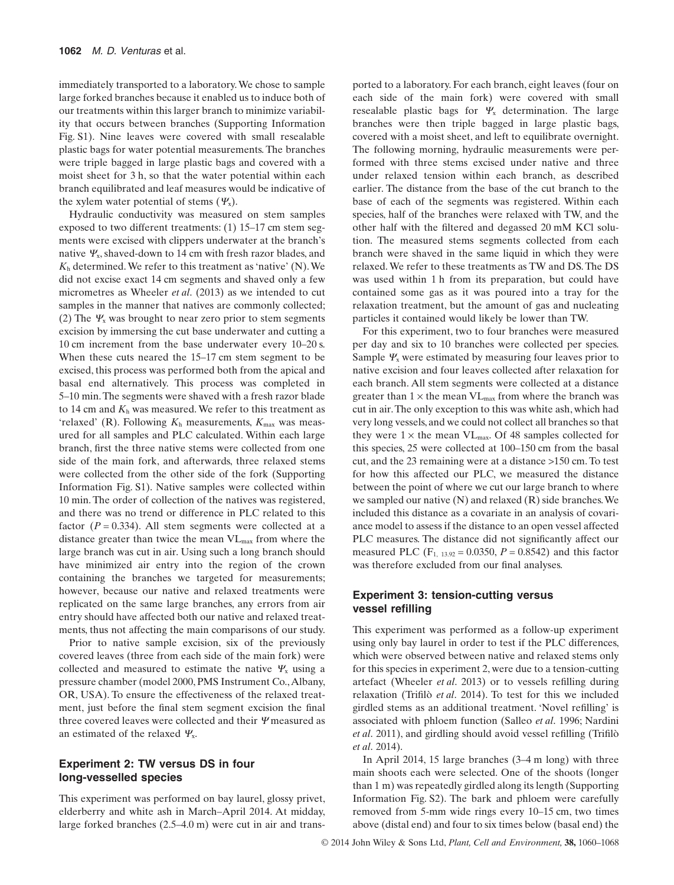immediately transported to a laboratory.We chose to sample large forked branches because it enabled us to induce both of our treatments within this larger branch to minimize variability that occurs between branches (Supporting Information Fig. S1). Nine leaves were covered with small resealable plastic bags for water potential measurements. The branches were triple bagged in large plastic bags and covered with a moist sheet for 3 h, so that the water potential within each branch equilibrated and leaf measures would be indicative of the xylem water potential of stems (*Ψ*x).

Hydraulic conductivity was measured on stem samples exposed to two different treatments: (1) 15–17 cm stem segments were excised with clippers underwater at the branch's native *Ψ*x, shaved-down to 14 cm with fresh razor blades, and *K*<sup>h</sup> determined.We refer to this treatment as 'native' (N).We did not excise exact 14 cm segments and shaved only a few micrometres as Wheeler *et al*. (2013) as we intended to cut samples in the manner that natives are commonly collected; (2) The  $\Psi_x$  was brought to near zero prior to stem segments excision by immersing the cut base underwater and cutting a 10 cm increment from the base underwater every 10–20 s. When these cuts neared the 15–17 cm stem segment to be excised, this process was performed both from the apical and basal end alternatively. This process was completed in 5–10 min.The segments were shaved with a fresh razor blade to 14 cm and  $K<sub>h</sub>$  was measured. We refer to this treatment as 'relaxed' (R). Following  $K<sub>h</sub>$  measurements,  $K<sub>max</sub>$  was measured for all samples and PLC calculated. Within each large branch, first the three native stems were collected from one side of the main fork, and afterwards, three relaxed stems were collected from the other side of the fork (Supporting Information Fig. S1). Native samples were collected within 10 min. The order of collection of the natives was registered, and there was no trend or difference in PLC related to this factor  $(P = 0.334)$ . All stem segments were collected at a distance greater than twice the mean VLmax from where the large branch was cut in air. Using such a long branch should have minimized air entry into the region of the crown containing the branches we targeted for measurements; however, because our native and relaxed treatments were replicated on the same large branches, any errors from air entry should have affected both our native and relaxed treatments, thus not affecting the main comparisons of our study.

Prior to native sample excision, six of the previously covered leaves (three from each side of the main fork) were collected and measured to estimate the native *Ψ*<sup>x</sup> using a pressure chamber (model 2000, PMS Instrument Co.,Albany, OR, USA). To ensure the effectiveness of the relaxed treatment, just before the final stem segment excision the final three covered leaves were collected and their *Ψ* measured as an estimated of the relaxed *Ψ*x.

#### **Experiment 2: TW versus DS in four long-vesselled species**

This experiment was performed on bay laurel, glossy privet, elderberry and white ash in March–April 2014. At midday, large forked branches (2.5–4.0 m) were cut in air and transported to a laboratory. For each branch, eight leaves (four on each side of the main fork) were covered with small resealable plastic bags for *Ψ*<sup>x</sup> determination. The large branches were then triple bagged in large plastic bags, covered with a moist sheet, and left to equilibrate overnight. The following morning, hydraulic measurements were performed with three stems excised under native and three under relaxed tension within each branch, as described earlier. The distance from the base of the cut branch to the base of each of the segments was registered. Within each species, half of the branches were relaxed with TW, and the other half with the filtered and degassed 20 mM KCl solution. The measured stems segments collected from each branch were shaved in the same liquid in which they were relaxed.We refer to these treatments as TW and DS. The DS was used within 1 h from its preparation, but could have contained some gas as it was poured into a tray for the relaxation treatment, but the amount of gas and nucleating particles it contained would likely be lower than TW.

For this experiment, two to four branches were measured per day and six to 10 branches were collected per species. Sample  $\Psi_x$  were estimated by measuring four leaves prior to native excision and four leaves collected after relaxation for each branch. All stem segments were collected at a distance greater than  $1 \times$  the mean  $VL_{max}$  from where the branch was cut in air.The only exception to this was white ash, which had very long vessels, and we could not collect all branches so that they were  $1 \times$  the mean VL<sub>max</sub>. Of 48 samples collected for this species, 25 were collected at 100–150 cm from the basal cut, and the 23 remaining were at a distance >150 cm. To test for how this affected our PLC, we measured the distance between the point of where we cut our large branch to where we sampled our native (N) and relaxed (R) side branches.We included this distance as a covariate in an analysis of covariance model to assess if the distance to an open vessel affected PLC measures. The distance did not significantly affect our measured PLC  $(F_{1, 13.92} = 0.0350, P = 0.8542)$  and this factor was therefore excluded from our final analyses.

# **Experiment 3: tension-cutting versus vessel refilling**

This experiment was performed as a follow-up experiment using only bay laurel in order to test if the PLC differences, which were observed between native and relaxed stems only for this species in experiment 2, were due to a tension-cutting artefact (Wheeler *et al*. 2013) or to vessels refilling during relaxation (Trifilò *et al*. 2014). To test for this we included girdled stems as an additional treatment. 'Novel refilling' is associated with phloem function (Salleo *et al*. 1996; Nardini *et al*. 2011), and girdling should avoid vessel refilling (Trifilò *et al*. 2014).

In April 2014, 15 large branches (3–4 m long) with three main shoots each were selected. One of the shoots (longer than 1 m) was repeatedly girdled along its length (Supporting Information Fig. S2). The bark and phloem were carefully removed from 5-mm wide rings every 10–15 cm, two times above (distal end) and four to six times below (basal end) the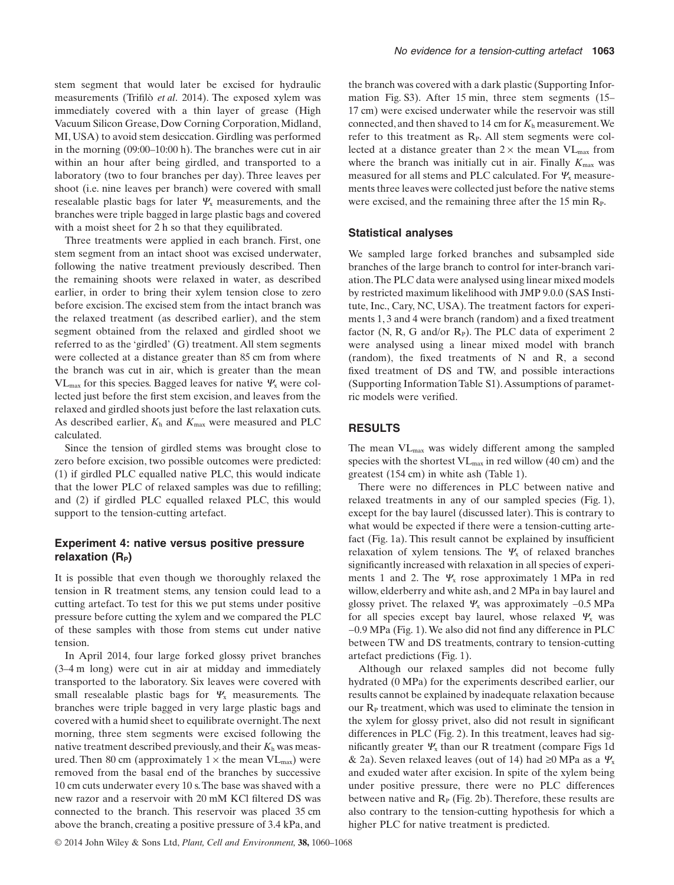stem segment that would later be excised for hydraulic measurements (Trifilò *et al*. 2014). The exposed xylem was immediately covered with a thin layer of grease (High Vacuum Silicon Grease, Dow Corning Corporation, Midland, MI, USA) to avoid stem desiccation. Girdling was performed in the morning (09:00–10:00 h). The branches were cut in air within an hour after being girdled, and transported to a laboratory (two to four branches per day). Three leaves per shoot (i.e. nine leaves per branch) were covered with small resealable plastic bags for later *Ψ*<sup>x</sup> measurements, and the branches were triple bagged in large plastic bags and covered with a moist sheet for 2 h so that they equilibrated.

Three treatments were applied in each branch. First, one stem segment from an intact shoot was excised underwater, following the native treatment previously described. Then the remaining shoots were relaxed in water, as described earlier, in order to bring their xylem tension close to zero before excision. The excised stem from the intact branch was the relaxed treatment (as described earlier), and the stem segment obtained from the relaxed and girdled shoot we referred to as the 'girdled' (G) treatment. All stem segments were collected at a distance greater than 85 cm from where the branch was cut in air, which is greater than the mean VLmax for this species. Bagged leaves for native *Ψ*<sup>x</sup> were collected just before the first stem excision, and leaves from the relaxed and girdled shoots just before the last relaxation cuts. As described earlier,  $K_h$  and  $K_{\text{max}}$  were measured and PLC calculated.

Since the tension of girdled stems was brought close to zero before excision, two possible outcomes were predicted: (1) if girdled PLC equalled native PLC, this would indicate that the lower PLC of relaxed samples was due to refilling; and (2) if girdled PLC equalled relaxed PLC, this would support to the tension-cutting artefact.

# **Experiment 4: native versus positive pressure** relaxation (R<sub>P</sub>)

It is possible that even though we thoroughly relaxed the tension in R treatment stems, any tension could lead to a cutting artefact. To test for this we put stems under positive pressure before cutting the xylem and we compared the PLC of these samples with those from stems cut under native tension.

In April 2014, four large forked glossy privet branches (3–4 m long) were cut in air at midday and immediately transported to the laboratory. Six leaves were covered with small resealable plastic bags for *Ψ*<sup>x</sup> measurements. The branches were triple bagged in very large plastic bags and covered with a humid sheet to equilibrate overnight.The next morning, three stem segments were excised following the native treatment described previously, and their *K*<sup>h</sup> was measured. Then 80 cm (approximately  $1 \times$  the mean  $VL_{max}$ ) were removed from the basal end of the branches by successive 10 cm cuts underwater every 10 s.The base was shaved with a new razor and a reservoir with 20 mM KCl filtered DS was connected to the branch. This reservoir was placed 35 cm above the branch, creating a positive pressure of 3.4 kPa, and

the branch was covered with a dark plastic (Supporting Information Fig. S3). After 15 min, three stem segments (15– 17 cm) were excised underwater while the reservoir was still connected, and then shaved to 14 cm for  $K<sub>h</sub>$  measurement. We refer to this treatment as  $R<sub>P</sub>$ . All stem segments were collected at a distance greater than  $2 \times$  the mean VL<sub>max</sub> from where the branch was initially cut in air. Finally  $K_{\text{max}}$  was measured for all stems and PLC calculated. For *Ψ*<sup>x</sup> measurements three leaves were collected just before the native stems were excised, and the remaining three after the 15 min R<sub>P</sub>.

#### **Statistical analyses**

We sampled large forked branches and subsampled side branches of the large branch to control for inter-branch variation.The PLC data were analysed using linear mixed models by restricted maximum likelihood with JMP 9.0.0 (SAS Institute, Inc., Cary, NC, USA). The treatment factors for experiments 1, 3 and 4 were branch (random) and a fixed treatment factor (N, R, G and/or  $R<sub>P</sub>$ ). The PLC data of experiment 2 were analysed using a linear mixed model with branch (random), the fixed treatments of N and R, a second fixed treatment of DS and TW, and possible interactions (Supporting Information Table S1).Assumptions of parametric models were verified.

# **RESULTS**

The mean VLmax was widely different among the sampled species with the shortest  $VL_{max}$  in red willow (40 cm) and the greatest (154 cm) in white ash (Table 1).

There were no differences in PLC between native and relaxed treatments in any of our sampled species (Fig. 1), except for the bay laurel (discussed later). This is contrary to what would be expected if there were a tension-cutting artefact (Fig. 1a). This result cannot be explained by insufficient relaxation of xylem tensions. The *Ψ*<sup>x</sup> of relaxed branches significantly increased with relaxation in all species of experiments 1 and 2. The  $\Psi_x$  rose approximately 1 MPa in red willow, elderberry and white ash, and 2 MPa in bay laurel and glossy privet. The relaxed *Ψ*<sup>x</sup> was approximately −0.5 MPa for all species except bay laurel, whose relaxed *Ψ*<sup>x</sup> was −0.9 MPa (Fig. 1).We also did not find any difference in PLC between TW and DS treatments, contrary to tension-cutting artefact predictions (Fig. 1).

Although our relaxed samples did not become fully hydrated (0 MPa) for the experiments described earlier, our results cannot be explained by inadequate relaxation because our  $R<sub>P</sub>$  treatment, which was used to eliminate the tension in the xylem for glossy privet, also did not result in significant differences in PLC (Fig. 2). In this treatment, leaves had significantly greater *Ψ*<sup>x</sup> than our R treatment (compare Figs 1d & 2a). Seven relaxed leaves (out of 14) had ≥0 MPa as a *Ψ*<sup>x</sup> and exuded water after excision. In spite of the xylem being under positive pressure, there were no PLC differences between native and  $R<sub>P</sub>$  (Fig. 2b). Therefore, these results are also contrary to the tension-cutting hypothesis for which a higher PLC for native treatment is predicted.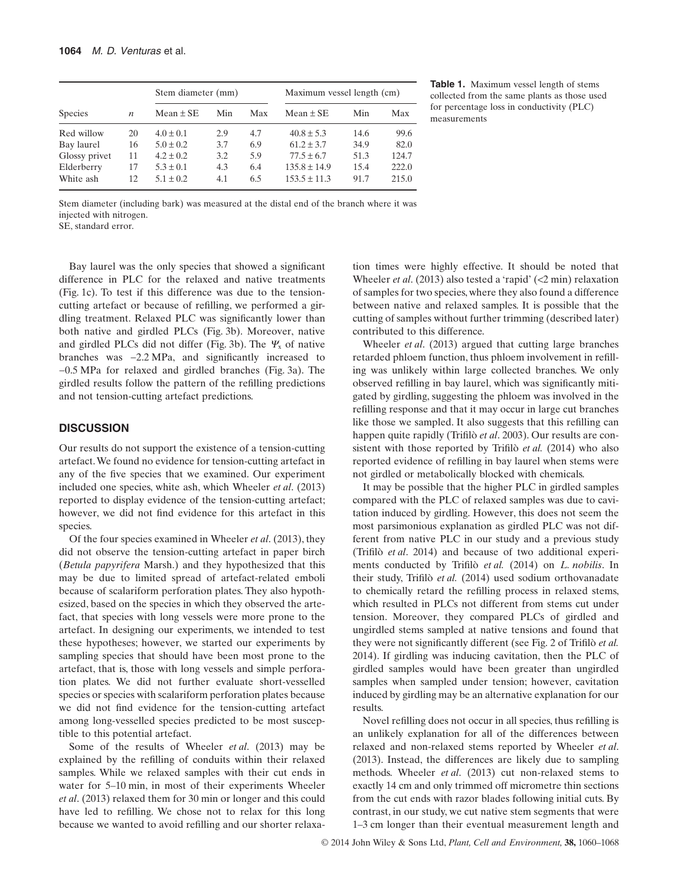| <b>Species</b> | $\boldsymbol{n}$ | Stem diameter (mm) |     |     | Maximum vessel length (cm) |      |       | Table 1. Max<br>collected from |
|----------------|------------------|--------------------|-----|-----|----------------------------|------|-------|--------------------------------|
|                |                  | Mean $\pm$ SE      | Min | Max | $Mean \pm SE$              | Min  | Max   | for percentage<br>measurements |
| Red willow     | 20               | $4.0 \pm 0.1$      | 2.9 | 4.7 | $40.8 \pm 5.3$             | 14.6 | 99.6  |                                |
| Bay laurel     | 16               | $5.0 \pm 0.2$      | 3.7 | 6.9 | $61.2 \pm 3.7$             | 34.9 | 82.0  |                                |
| Glossy privet  | 11               | $4.2 \pm 0.2$      | 3.2 | 5.9 | $77.5 \pm 6.7$             | 51.3 | 124.7 |                                |
| Elderberry     | 17               | $5.3 \pm 0.1$      | 4.3 | 6.4 | $135.8 \pm 14.9$           | 15.4 | 222.0 |                                |
| White ash      | 12               | $5.1 \pm 0.2$      | 4.1 | 6.5 | $153.5 \pm 11.3$           | 91.7 | 215.0 |                                |

**Table 1.** Maximum vessel length of stems collected from the same plants as those used for percentage loss in conductivity (PLC)

Stem diameter (including bark) was measured at the distal end of the branch where it was injected with nitrogen.

SE, standard error.

Bay laurel was the only species that showed a significant difference in PLC for the relaxed and native treatments (Fig. 1c). To test if this difference was due to the tensioncutting artefact or because of refilling, we performed a girdling treatment. Relaxed PLC was significantly lower than both native and girdled PLCs (Fig. 3b). Moreover, native and girdled PLCs did not differ (Fig. 3b). The *Ψ*<sup>x</sup> of native branches was −2.2 MPa, and significantly increased to −0.5 MPa for relaxed and girdled branches (Fig. 3a). The girdled results follow the pattern of the refilling predictions and not tension-cutting artefact predictions.

#### **DISCUSSION**

Our results do not support the existence of a tension-cutting artefact.We found no evidence for tension-cutting artefact in any of the five species that we examined. Our experiment included one species, white ash, which Wheeler *et al*. (2013) reported to display evidence of the tension-cutting artefact; however, we did not find evidence for this artefact in this species.

Of the four species examined in Wheeler *et al*. (2013), they did not observe the tension-cutting artefact in paper birch (*Betula papyrifera* Marsh.) and they hypothesized that this may be due to limited spread of artefact-related emboli because of scalariform perforation plates. They also hypothesized, based on the species in which they observed the artefact, that species with long vessels were more prone to the artefact. In designing our experiments, we intended to test these hypotheses; however, we started our experiments by sampling species that should have been most prone to the artefact, that is, those with long vessels and simple perforation plates. We did not further evaluate short-vesselled species or species with scalariform perforation plates because we did not find evidence for the tension-cutting artefact among long-vesselled species predicted to be most susceptible to this potential artefact.

Some of the results of Wheeler *et al*. (2013) may be explained by the refilling of conduits within their relaxed samples. While we relaxed samples with their cut ends in water for 5–10 min, in most of their experiments Wheeler *et al*. (2013) relaxed them for 30 min or longer and this could have led to refilling. We chose not to relax for this long because we wanted to avoid refilling and our shorter relaxation times were highly effective. It should be noted that Wheeler *et al*. (2013) also tested a 'rapid' (<2 min) relaxation of samples for two species, where they also found a difference between native and relaxed samples. It is possible that the cutting of samples without further trimming (described later) contributed to this difference.

Wheeler *et al*. (2013) argued that cutting large branches retarded phloem function, thus phloem involvement in refilling was unlikely within large collected branches. We only observed refilling in bay laurel, which was significantly mitigated by girdling, suggesting the phloem was involved in the refilling response and that it may occur in large cut branches like those we sampled. It also suggests that this refilling can happen quite rapidly (Trifilò *et al*. 2003). Our results are consistent with those reported by Trifilò *et al.* (2014) who also reported evidence of refilling in bay laurel when stems were not girdled or metabolically blocked with chemicals.

It may be possible that the higher PLC in girdled samples compared with the PLC of relaxed samples was due to cavitation induced by girdling. However, this does not seem the most parsimonious explanation as girdled PLC was not different from native PLC in our study and a previous study (Trifilò *et al*. 2014) and because of two additional experiments conducted by Trifilò *et al.* (2014) on *L. nobilis*. In their study, Trifilò *et al.* (2014) used sodium orthovanadate to chemically retard the refilling process in relaxed stems, which resulted in PLCs not different from stems cut under tension. Moreover, they compared PLCs of girdled and ungirdled stems sampled at native tensions and found that they were not significantly different (see Fig. 2 of Trifilò *et al.* 2014). If girdling was inducing cavitation, then the PLC of girdled samples would have been greater than ungirdled samples when sampled under tension; however, cavitation induced by girdling may be an alternative explanation for our results.

Novel refilling does not occur in all species, thus refilling is an unlikely explanation for all of the differences between relaxed and non-relaxed stems reported by Wheeler *et al*. (2013). Instead, the differences are likely due to sampling methods. Wheeler *et al*. (2013) cut non-relaxed stems to exactly 14 cm and only trimmed off micrometre thin sections from the cut ends with razor blades following initial cuts. By contrast, in our study, we cut native stem segments that were 1–3 cm longer than their eventual measurement length and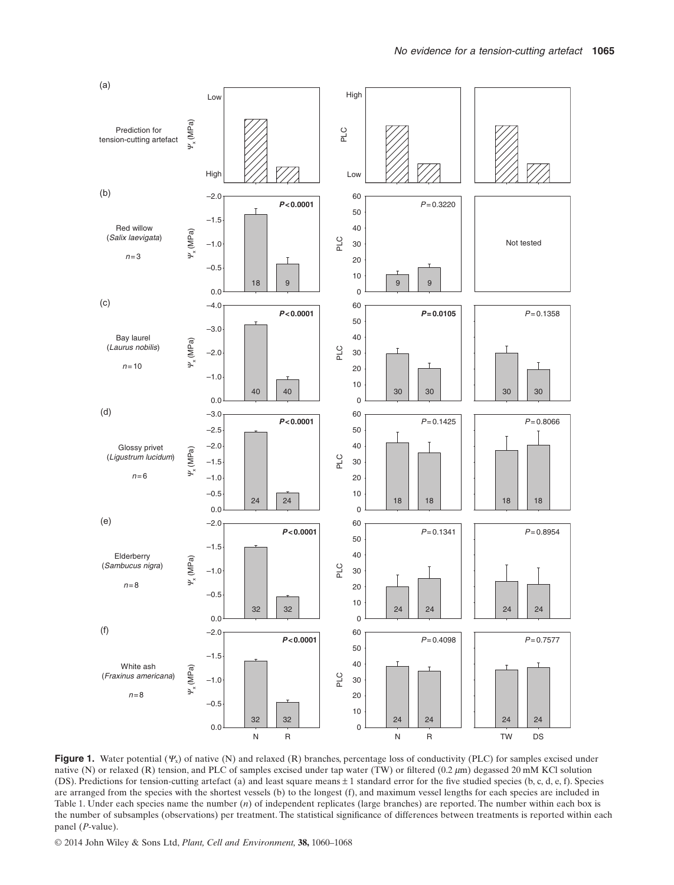

**Figure 1.** Water potential (*Ψ*x) of native (N) and relaxed (R) branches, percentage loss of conductivity (PLC) for samples excised under native (N) or relaxed (R) tension, and PLC of samples excised under tap water (TW) or filtered (0.2  $\mu$ m) degassed 20 mM KCl solution (DS). Predictions for tension-cutting artefact (a) and least square means ± 1 standard error for the five studied species (b, c, d, e, f). Species are arranged from the species with the shortest vessels (b) to the longest (f), and maximum vessel lengths for each species are included in Table 1. Under each species name the number (*n*) of independent replicates (large branches) are reported. The number within each box is the number of subsamples (observations) per treatment. The statistical significance of differences between treatments is reported within each panel (*P*-value).

© 2014 John Wiley & Sons Ltd, *Plant, Cell and Environment,* **38,** 1060–1068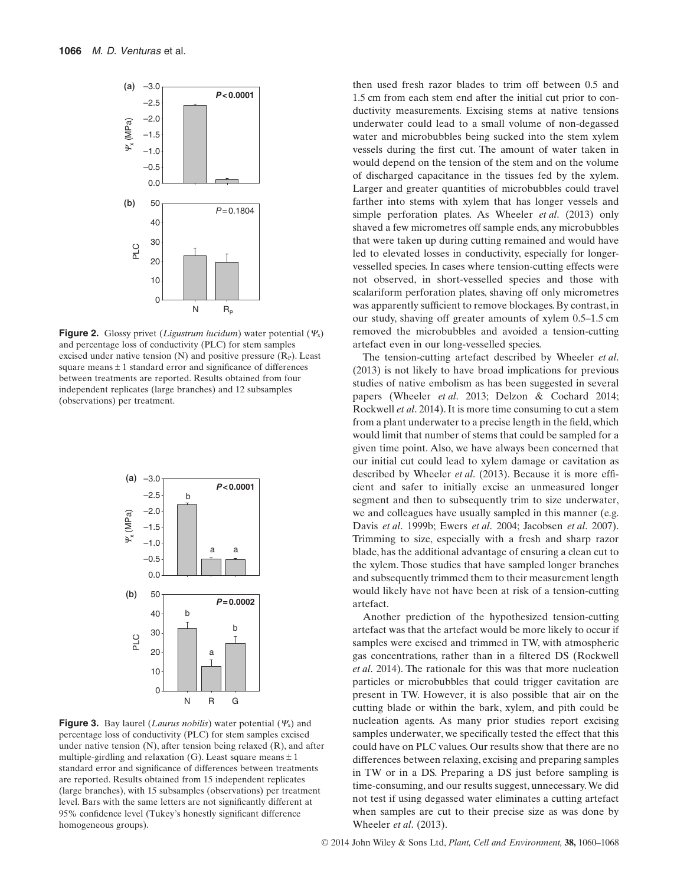

**Figure 2.** Glossy privet (*Ligustrum lucidum*) water potential (*Ψ*x) and percentage loss of conductivity (PLC) for stem samples excised under native tension  $(N)$  and positive pressure  $(R<sub>P</sub>)$ . Least square means  $\pm 1$  standard error and significance of differences between treatments are reported. Results obtained from four independent replicates (large branches) and 12 subsamples (observations) per treatment.



**Figure 3.** Bay laurel (*Laurus nobilis*) water potential (*Ψ*x) and percentage loss of conductivity (PLC) for stem samples excised under native tension (N), after tension being relaxed (R), and after multiple-girdling and relaxation (G). Least square means  $\pm 1$ standard error and significance of differences between treatments are reported. Results obtained from 15 independent replicates (large branches), with 15 subsamples (observations) per treatment level. Bars with the same letters are not significantly different at 95% confidence level (Tukey's honestly significant difference homogeneous groups).

then used fresh razor blades to trim off between 0.5 and 1.5 cm from each stem end after the initial cut prior to conductivity measurements. Excising stems at native tensions underwater could lead to a small volume of non-degassed water and microbubbles being sucked into the stem xylem vessels during the first cut. The amount of water taken in would depend on the tension of the stem and on the volume of discharged capacitance in the tissues fed by the xylem. Larger and greater quantities of microbubbles could travel farther into stems with xylem that has longer vessels and simple perforation plates. As Wheeler *et al*. (2013) only shaved a few micrometres off sample ends, any microbubbles that were taken up during cutting remained and would have led to elevated losses in conductivity, especially for longervesselled species. In cases where tension-cutting effects were not observed, in short-vesselled species and those with scalariform perforation plates, shaving off only micrometres was apparently sufficient to remove blockages. By contrast, in our study, shaving off greater amounts of xylem 0.5–1.5 cm removed the microbubbles and avoided a tension-cutting artefact even in our long-vesselled species.

The tension-cutting artefact described by Wheeler *et al*. (2013) is not likely to have broad implications for previous studies of native embolism as has been suggested in several papers (Wheeler *et al*. 2013; Delzon & Cochard 2014; Rockwell *et al*. 2014). It is more time consuming to cut a stem from a plant underwater to a precise length in the field, which would limit that number of stems that could be sampled for a given time point. Also, we have always been concerned that our initial cut could lead to xylem damage or cavitation as described by Wheeler *et al*. (2013). Because it is more efficient and safer to initially excise an unmeasured longer segment and then to subsequently trim to size underwater, we and colleagues have usually sampled in this manner (e.g. Davis *et al*. 1999b; Ewers *et al*. 2004; Jacobsen *et al*. 2007). Trimming to size, especially with a fresh and sharp razor blade, has the additional advantage of ensuring a clean cut to the xylem. Those studies that have sampled longer branches and subsequently trimmed them to their measurement length would likely have not have been at risk of a tension-cutting artefact.

Another prediction of the hypothesized tension-cutting artefact was that the artefact would be more likely to occur if samples were excised and trimmed in TW, with atmospheric gas concentrations, rather than in a filtered DS (Rockwell *et al*. 2014). The rationale for this was that more nucleation particles or microbubbles that could trigger cavitation are present in TW. However, it is also possible that air on the cutting blade or within the bark, xylem, and pith could be nucleation agents. As many prior studies report excising samples underwater, we specifically tested the effect that this could have on PLC values. Our results show that there are no differences between relaxing, excising and preparing samples in TW or in a DS. Preparing a DS just before sampling is time-consuming, and our results suggest, unnecessary.We did not test if using degassed water eliminates a cutting artefact when samples are cut to their precise size as was done by Wheeler *et al*. (2013).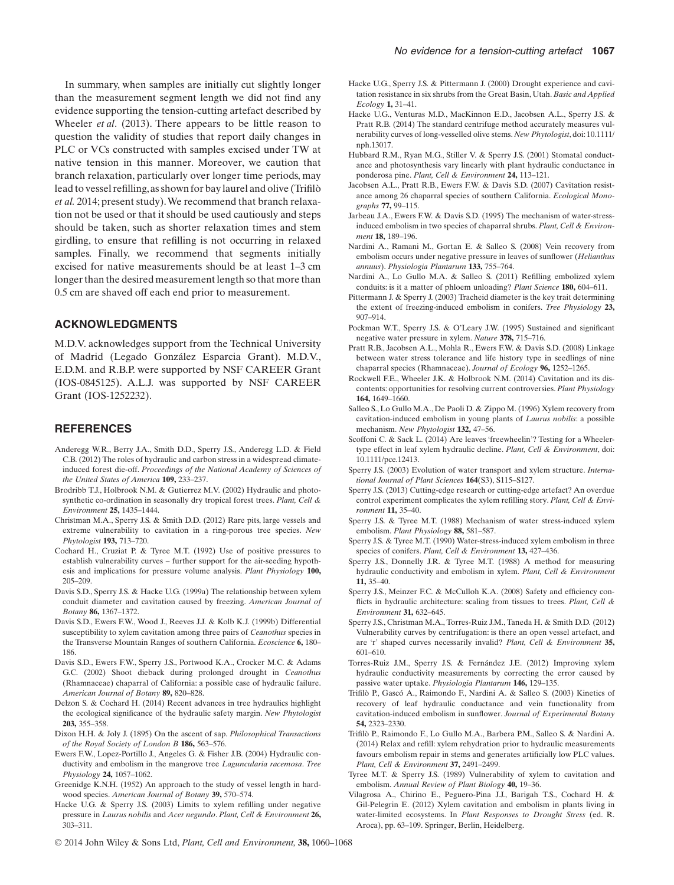In summary, when samples are initially cut slightly longer than the measurement segment length we did not find any evidence supporting the tension-cutting artefact described by Wheeler *et al*. (2013). There appears to be little reason to question the validity of studies that report daily changes in PLC or VCs constructed with samples excised under TW at native tension in this manner. Moreover, we caution that branch relaxation, particularly over longer time periods, may lead to vessel refilling,as shown for bay laurel and olive (Trifilò *et al.* 2014; present study).We recommend that branch relaxation not be used or that it should be used cautiously and steps should be taken, such as shorter relaxation times and stem girdling, to ensure that refilling is not occurring in relaxed samples. Finally, we recommend that segments initially excised for native measurements should be at least 1–3 cm longer than the desired measurement length so that more than 0.5 cm are shaved off each end prior to measurement.

#### **ACKNOWLEDGMENTS**

M.D.V. acknowledges support from the Technical University of Madrid (Legado González Esparcia Grant). M.D.V., E.D.M. and R.B.P. were supported by NSF CAREER Grant (IOS-0845125). A.L.J. was supported by NSF CAREER Grant (IOS-1252232).

#### **REFERENCES**

- Anderegg W.R., Berry J.A., Smith D.D., Sperry J.S., Anderegg L.D. & Field C.B. (2012) The roles of hydraulic and carbon stress in a widespread climateinduced forest die-off. *Proceedings of the National Academy of Sciences of the United States of America* **109,** 233–237.
- Brodribb T.J., Holbrook N.M. & Gutierrez M.V. (2002) Hydraulic and photosynthetic co-ordination in seasonally dry tropical forest trees. *Plant, Cell & Environment* **25,** 1435–1444.
- Christman M.A., Sperry J.S. & Smith D.D. (2012) Rare pits, large vessels and extreme vulnerability to cavitation in a ring-porous tree species. *New Phytologist* **193,** 713–720.
- Cochard H., Cruziat P. & Tyree M.T. (1992) Use of positive pressures to establish vulnerability curves – further support for the air-seeding hypothesis and implications for pressure volume analysis. *Plant Physiology* **100,** 205–209.
- Davis S.D., Sperry J.S. & Hacke U.G. (1999a) The relationship between xylem conduit diameter and cavitation caused by freezing. *American Journal of Botany* **86,** 1367–1372.
- Davis S.D., Ewers F.W., Wood J., Reeves J.J. & Kolb K.J. (1999b) Differential susceptibility to xylem cavitation among three pairs of *Ceanothus* species in the Transverse Mountain Ranges of southern California. *Ecoscience* **6,** 180– 186.
- Davis S.D., Ewers F.W., Sperry J.S., Portwood K.A., Crocker M.C. & Adams G.C. (2002) Shoot dieback during prolonged drought in *Ceanothus* (Rhamnaceae) chaparral of California: a possible case of hydraulic failure. *American Journal of Botany* **89,** 820–828.
- Delzon S. & Cochard H. (2014) Recent advances in tree hydraulics highlight the ecological significance of the hydraulic safety margin. *New Phytologist* **203,** 355–358.
- Dixon H.H. & Joly J. (1895) On the ascent of sap. *Philosophical Transactions of the Royal Society of London B* **186,** 563–576.
- Ewers F.W., Lopez-Portillo J., Angeles G. & Fisher J.B. (2004) Hydraulic conductivity and embolism in the mangrove tree *Laguncularia racemosa*. *Tree Physiology* **24,** 1057–1062.
- Greenidge K.N.H. (1952) An approach to the study of vessel length in hardwood species. *American Journal of Botany* **39,** 570–574.
- 
- Hacke U.G. & Sperry J.S. (2003) Limits to xylem refilling under negative
	- pressure in *Laurus nobilis* and *Acer negundo*. *Plant, Cell & Environment* **26,** 303–311.
- Hacke U.G., Sperry J.S. & Pittermann J. (2000) Drought experience and cavitation resistance in six shrubs from the Great Basin, Utah. *Basic and Applied Ecology* **1,** 31–41.
- Hacke U.G., Venturas M.D., MacKinnon E.D., Jacobsen A.L., Sperry J.S. & Pratt R.B. (2014) The standard centrifuge method accurately measures vulnerability curves of long-vesselled olive stems. *New Phytologist*, doi: 10.1111/ nph.13017.
- Hubbard R.M., Ryan M.G., Stiller V. & Sperry J.S. (2001) Stomatal conductance and photosynthesis vary linearly with plant hydraulic conductance in ponderosa pine. *Plant, Cell & Environment* **24,** 113–121.
- Jacobsen A.L., Pratt R.B., Ewers F.W. & Davis S.D. (2007) Cavitation resistance among 26 chaparral species of southern California. *Ecological Monographs* **77,** 99–115.
- Jarbeau J.A., Ewers F.W. & Davis S.D. (1995) The mechanism of water-stressinduced embolism in two species of chaparral shrubs. *Plant, Cell & Environment* **18,** 189–196.
- Nardini A., Ramani M., Gortan E. & Salleo S. (2008) Vein recovery from embolism occurs under negative pressure in leaves of sunflower (*Helianthus annuus*). *Physiologia Plantarum* **133,** 755–764.
- Nardini A., Lo Gullo M.A. & Salleo S. (2011) Refilling embolized xylem conduits: is it a matter of phloem unloading? *Plant Science* **180,** 604–611.
- Pittermann J. & Sperry J. (2003) Tracheid diameter is the key trait determining the extent of freezing-induced embolism in conifers. *Tree Physiology* **23,** 907–914.
- Pockman W.T., Sperry J.S. & O'Leary J.W. (1995) Sustained and significant negative water pressure in xylem. *Nature* **378,** 715–716.
- Pratt R.B., Jacobsen A.L., Mohla R., Ewers F.W. & Davis S.D. (2008) Linkage between water stress tolerance and life history type in seedlings of nine chaparral species (Rhamnaceae). *Journal of Ecology* **96,** 1252–1265.
- Rockwell F.E., Wheeler J.K. & Holbrook N.M. (2014) Cavitation and its discontents: opportunities for resolving current controversies. *Plant Physiology* **164,** 1649–1660.
- Salleo S., Lo Gullo M.A., De Paoli D. & Zippo M. (1996) Xylem recovery from cavitation-induced embolism in young plants of *Laurus nobilis*: a possible mechanism. *New Phytologist* **132,** 47–56.
- Scoffoni C. & Sack L. (2014) Are leaves 'freewheelin'? Testing for a Wheelertype effect in leaf xylem hydraulic decline. *Plant, Cell & Environment*, doi: 10.1111/pce.12413.
- Sperry J.S. (2003) Evolution of water transport and xylem structure. *International Journal of Plant Sciences* **164**(S3), S115–S127.
- Sperry J.S. (2013) Cutting-edge research or cutting-edge artefact? An overdue control experiment complicates the xylem refilling story. *Plant, Cell & Environment* **11,** 35–40.
- Sperry J.S. & Tyree M.T. (1988) Mechanism of water stress-induced xylem embolism. *Plant Physiology* **88,** 581–587.
- Sperry J.S. & Tyree M.T. (1990) Water-stress-induced xylem embolism in three species of conifers. *Plant, Cell & Environment* **13,** 427–436.
- Sperry J.S., Donnelly J.R. & Tyree M.T. (1988) A method for measuring hydraulic conductivity and embolism in xylem. *Plant, Cell & Environment* **11,** 35–40.
- Sperry J.S., Meinzer F.C. & McCulloh K.A. (2008) Safety and efficiency conflicts in hydraulic architecture: scaling from tissues to trees. *Plant, Cell & Environment* **31,** 632–645.
- Sperry J.S., Christman M.A., Torres-Ruiz J.M., Taneda H. & Smith D.D. (2012) Vulnerability curves by centrifugation: is there an open vessel artefact, and are 'r' shaped curves necessarily invalid? *Plant, Cell & Environment* **35,** 601–610.
- Torres-Ruiz J.M., Sperry J.S. & Fernández J.E. (2012) Improving xylem hydraulic conductivity measurements by correcting the error caused by passive water uptake. *Physiologia Plantarum* **146,** 129–135.
- Trifilò P., Gascó A., Raimondo F., Nardini A. & Salleo S. (2003) Kinetics of recovery of leaf hydraulic conductance and vein functionality from cavitation-induced embolism in sunflower. *Journal of Experimental Botany* **54,** 2323–2330.
- Trifilò P., Raimondo F., Lo Gullo M.A., Barbera P.M., Salleo S. & Nardini A. (2014) Relax and refill: xylem rehydration prior to hydraulic measurements favours embolism repair in stems and generates artificially low PLC values. *Plant, Cell & Environment* **37,** 2491–2499.
- Tyree M.T. & Sperry J.S. (1989) Vulnerability of xylem to cavitation and embolism. *Annual Review of Plant Biology* **40,** 19–36.
- Vilagrosa A., Chirino E., Peguero-Pina J.J., Barigah T.S., Cochard H. & Gil-Pelegrin E. (2012) Xylem cavitation and embolism in plants living in water-limited ecosystems. In *Plant Responses to Drought Stress* (ed. R. Aroca), pp. 63–109. Springer, Berlin, Heidelberg.